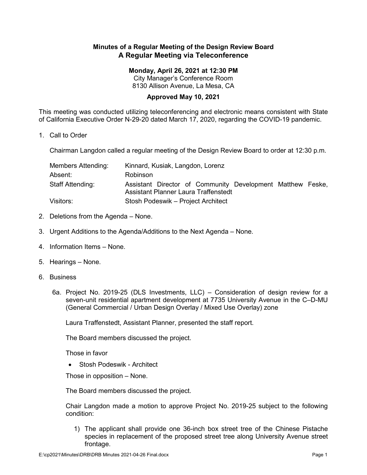## **Minutes of a Regular Meeting of the Design Review Board A Regular Meeting via Teleconference**

## **Monday, April 26, 2021 at 12:30 PM**

City Manager's Conference Room 8130 Allison Avenue, La Mesa, CA

## **Approved May 10, 2021**

This meeting was conducted utilizing teleconferencing and electronic means consistent with State of California Executive Order N-29-20 dated March 17, 2020, regarding the COVID-19 pandemic.

1. Call to Order

Chairman Langdon called a regular meeting of the Design Review Board to order at 12:30 p.m.

| Members Attending: | Kinnard, Kusiak, Langdon, Lorenz                                                                          |
|--------------------|-----------------------------------------------------------------------------------------------------------|
| Absent:            | Robinson                                                                                                  |
| Staff Attending:   | Assistant Director of Community Development Matthew Feske,<br><b>Assistant Planner Laura Traffenstedt</b> |
| Visitors:          | Stosh Podeswik – Project Architect                                                                        |

- 2. Deletions from the Agenda None.
- 3. Urgent Additions to the Agenda/Additions to the Next Agenda None.
- 4. Information Items None.
- 5. Hearings None.
- 6. Business
	- 6a. Project No. 2019-25 (DLS Investments, LLC) Consideration of design review for a seven-unit residential apartment development at 7735 University Avenue in the C–D-MU (General Commercial / Urban Design Overlay / Mixed Use Overlay) zone

Laura Traffenstedt, Assistant Planner, presented the staff report.

The Board members discussed the project.

Those in favor

• Stosh Podeswik - Architect

Those in opposition – None.

The Board members discussed the project.

Chair Langdon made a motion to approve Project No. 2019-25 subject to the following condition:

1) The applicant shall provide one 36-inch box street tree of the Chinese Pistache species in replacement of the proposed street tree along University Avenue street frontage.